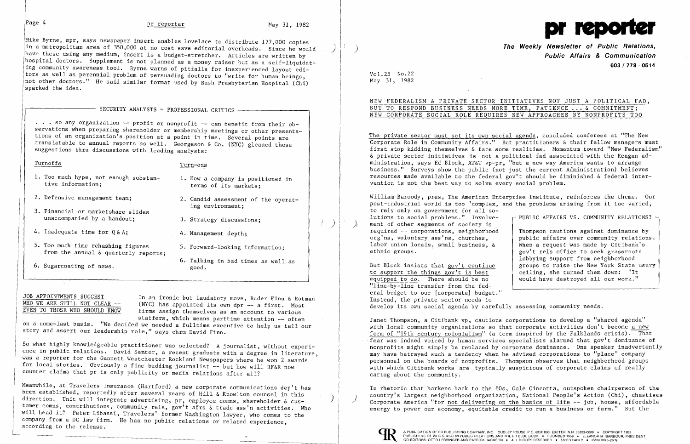$\left( \right)$ 

Mike Byrne, mpr, says newspaper insert enables Lovelace to distribute 177,000 copies<br>in a metropolitan area of 350,000 at no cost save editorial overheads. Since he would have these using any medium, insert is a budget-stretcher. Articles are written by hospital doctors. Supplement is not planned as a money raiser but as a self-liquidating community awareness tool. Byrne warns of pitfalls for inexperienced layout editors as well as perennial problem of persuading doctors to "write for human beings, not other doctors." He said similar format used by Rush Presbyterian Hospital (Chi) sparked the idea.

# SECURITY ANALYSTS = PROFESSIONAL CRITICS  $-$

... so any organization -- profit or nonprofit -- can benefit from their observations when preparing shareholder or membership meetings or other presentations of an organization's position at a point in time. Several points are translatable to annual reports as well. Georgeson & Co. (NYC) gleaned these suggestions thru discussions with leading analysts:

- terms of its markets;
- 2. Defensive management team; 2. Candid assessment of the operating environment;
	- 3. Strategy discussions;
	-
	-
	- 6. Talking in bad times as well as

JOB APPOINTMENTS SUGGEST<br>WHO WE ARE STILL NOT CLEAR -- (NYC) has appointed its own day -- a first Most WHO WE ARE STILL NOT CLEAR  $-\frac{1}{2}$  (NYC) has appointed its own dpr -- a first. Most EVEN TO THOSE WHO SHOULD KNOW firms assign themselves as an account to various firms assign themselves as an account to various staffers, which means parttime attention -- often

# Turnoffs Turn-ons

- 1. Too much hype, not enough substan-<br>tive information:<br>terms of its markets:
- 
- 3. Financial or marketshare slides unaccompanied by a handout;
- 4. Inadequate time for  $Q \& A$ ; 4. Management depth:
- 5. Too much time rehashing figures 5. Forward-looking information; from the annual & quarterly reports;
- 6. Sugarcoating of news.  $\qquad \qquad \text{good.}$

on a come-last basis. "We decided we needed a fulltime executive to help us tell our story and assert our leadership role," says chrm David Finn.

So what highly knowledgeable practitioner was selected? A journalist, without experience in public relations. David Senter, a recent graduate with a degree in literature, was a reporter for the Gannett Westchester Rockland Newspapers where he won 2 awards for local stories. Obviously a fine budding journalist -- but how will RF&R now counter claims that pr is only publicity or media relations after all?



**The Weekly Newsletter of Public Relations,** ) **Public Affairs & Communication 603** / 77 8 - **05 14** 

Vol. 25 No.22 May 31, 1982

## NEW FEDERALISM & PRIVATE SECTOR INITIATIVES NOT JUST A POLITICAL FAD, BUT TO RESPOND BUSINESS NEEDS MORE TIME, PATIENCE ... & COMMITMENT; NEW CORPORATE SOCIAL ROLE REQUIRES NEW APPROACHES BY NONPROFITS TOO

The private sector must set its own social agenda, concluded conferees at "The New Corporate Role in Community Affairs." But practitioners & their fellow managers must first stop kidding themselves & face some realities. Momentum toward "New Federalism" & private sector initiatives is not a political fad associated with the Reagan administration, says Ed Block, AT&T vp-pr, "but a new way America wants to arrange business." Surveys show the public (not just the current Administration) believes resources made available to the federal gov't should be diminished & federal intervention is not the best way to solve every social problem.

William Baroody, pres, The American Enterprise Institute, reinforces the theme. Our post-industrial world is too "complex, and the problems arising from it too varied, to rely only on government for all solutions to social problems." Involve ment of other segments of society is required -- corporations, neighborhood org'ns, voluntary ass'ns, churches, labor union locals, small business, & ethnic groups. - PUBLIC AFFAIRS VS. COMMUNITY RELATIONS? -Thompson cautions against dominance by public affairs over community relations. When a request was made by Citibank's

But Block insists that gov't continue to support the things gov't is best equipped to do. There should be no "line-by-line transfer from the federal budget to our [corporate] budget." Instead, the private sector needs to develop its own social agenda by carefully assessing community needs.

gov't rels office to seek grassroots lobbying support from neighborhood groups to raise the New York State usury ceiling, she turned them down: "It would have destroyed all our work."

Janet Thompson, a Citibank vp, cautions corporations to develop a "shared agenda" with local community organizations so that corporate activities don't become a new form of "19th century colonialism" (a term inspired by the Falklands crisis). That fear was indeed voiced by human services specialists alarmed that gov't dominance of nonprofits might simply be replaced by corporate dominance. One speaker inadvertently may have betrayed such a tendency when he advised corporations to "place" company personnel on the boards of nonprofits. Thompson observes that neighborhood groups with which Citibank works are typically suspicious of corporate claims of really caring about the community.

) )

Meanwhile, at Travelers Insurance (Hartford) a new corporate communications dep't has been established, reportedly after several years of Hill & Knowlton counsel in this direction. Unit will integrate advertising, pr, employee comns, shareholder & customer comns, contributions, community rels, gov't afrs & trade ass'n activities. Who will head it? Peter Libassi, Travelers' former Washington lawyer, who comes to the company from a DC law firm. He has no public relations or related experience, according to the release.

In rhetoric that harkens back to the 60s, Gale Cincotta, outspoken chairperson of the country's largest neighborhood organization, National People's Action (Chi), chastises Corporate America "for not delivering on the basics of life -- job, house, affordable energy to power our economy, equitable credit to run a business or farm." But the